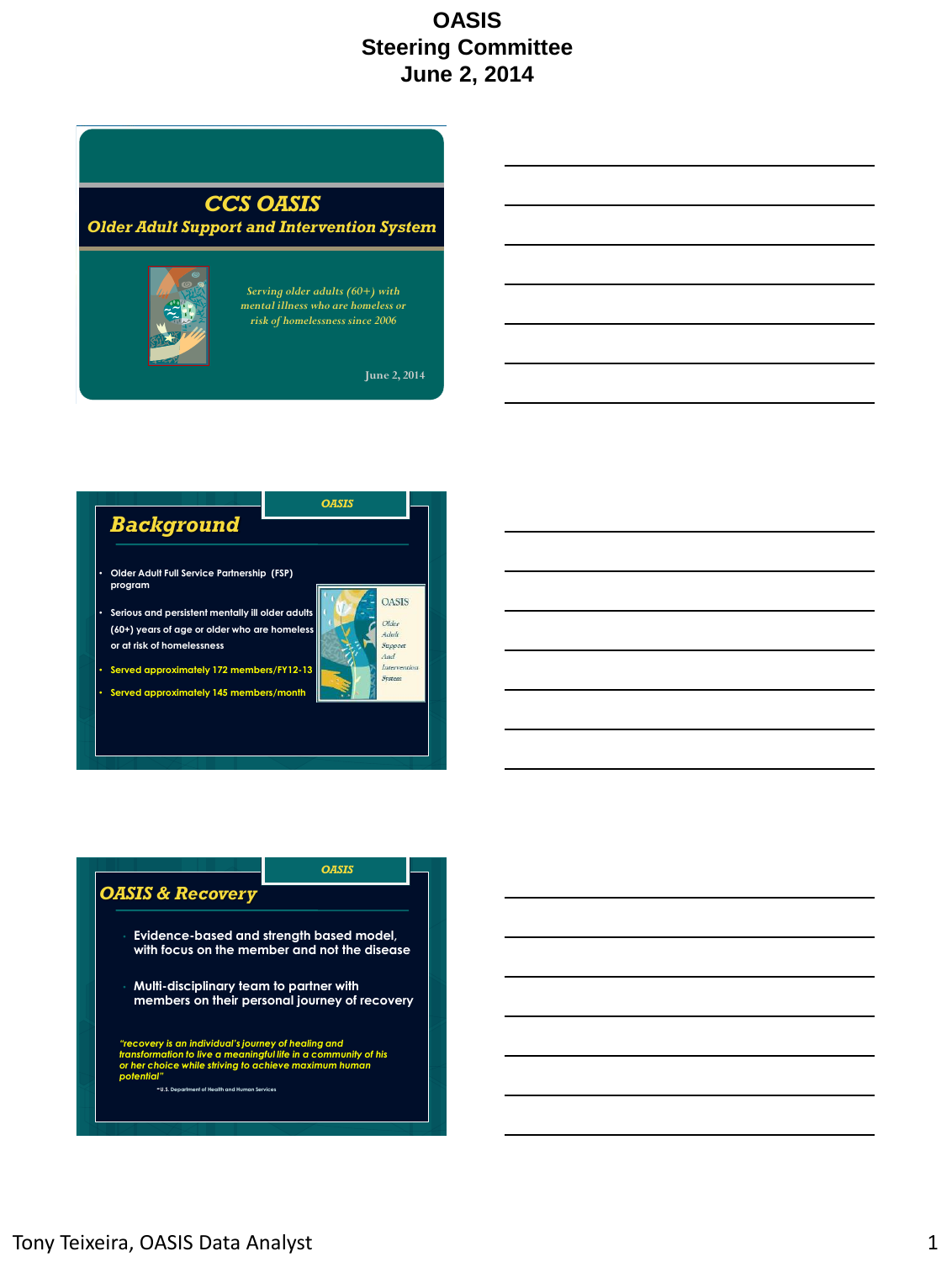## *CCS OASIS*

### *Older Adult Support and Intervention System*



*Serving older adults (60+) with mental illness who are homeless or risk of homelessness since 2006*

**June 2, 2014**



• **Served approximately 145 members/month**

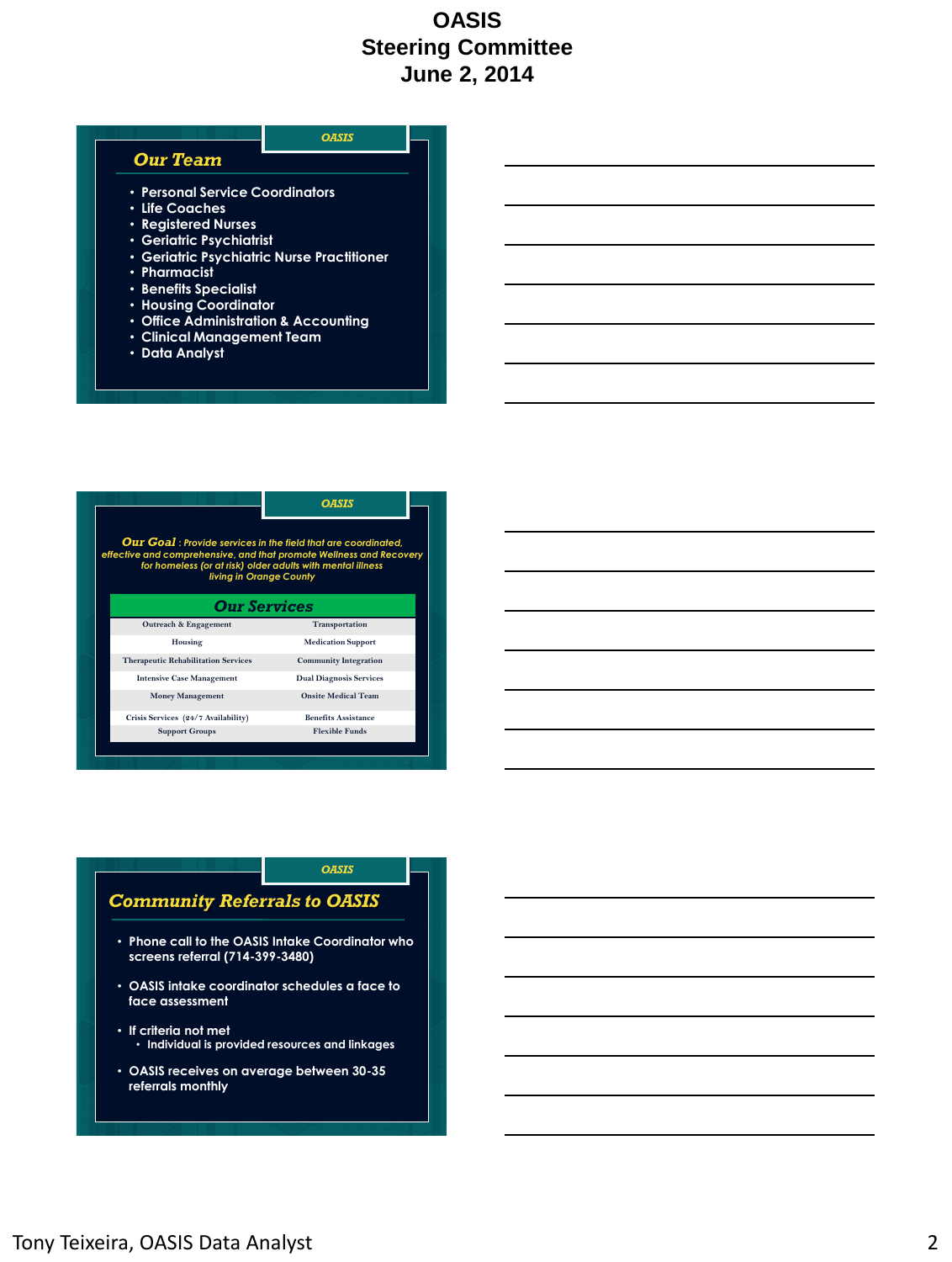

| <b>Our Goal</b> : Provide services in the field that are coordinated,<br>effective and comprehensive, and that promote Wellness and Recovery<br>for homeless (or at risk) older adults with mental illness<br>living in Orange County | <b>OASIS</b>                   |
|---------------------------------------------------------------------------------------------------------------------------------------------------------------------------------------------------------------------------------------|--------------------------------|
| <b>Our Services</b>                                                                                                                                                                                                                   |                                |
| Outreach & Engagement                                                                                                                                                                                                                 | Transportation                 |
| Housing                                                                                                                                                                                                                               | <b>Medication Support</b>      |
| <b>Therapeutic Rehabilitation Services</b>                                                                                                                                                                                            | <b>Community Integration</b>   |
| <b>Intensive Case Management</b>                                                                                                                                                                                                      | <b>Dual Diagnosis Services</b> |
| <b>Money Management</b>                                                                                                                                                                                                               | <b>Onsite Medical Team</b>     |
| Crisis Services (24/7 Availability)                                                                                                                                                                                                   | <b>Benefits Assistance</b>     |
| <b>Support Groups</b>                                                                                                                                                                                                                 | <b>Flexible Funds</b>          |

#### *OASIS*

#### *Community Referrals to OASIS*

- **Phone call to the OASIS Intake Coordinator who screens referral (714-399-3480)**
- **OASIS intake coordinator schedules a face to face assessment**
- **If criteria not met** • **Individual is provided resources and linkages**
- **OASIS receives on average between 30-35 referrals monthly**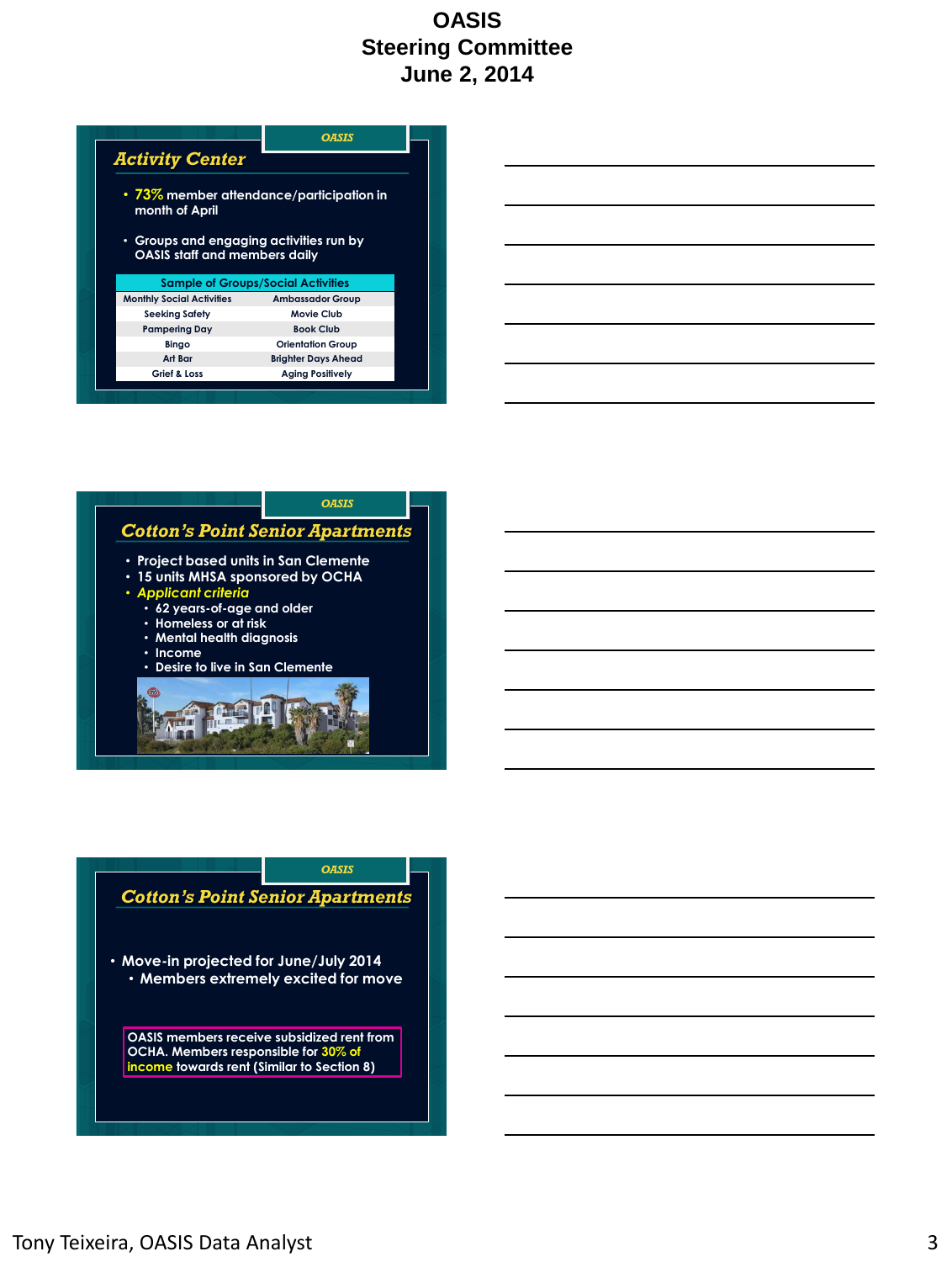|                                                                                 | OASIS                                              |
|---------------------------------------------------------------------------------|----------------------------------------------------|
| <b>Activity Center</b>                                                          |                                                    |
| month of April                                                                  | $\cdot$ 73 $\%$ member attendance/participation in |
|                                                                                 |                                                    |
| • Groups and engaging activities run by<br><b>OASIS staff and members daily</b> |                                                    |
|                                                                                 | <b>Sample of Groups/Social Activities</b>          |
| <b>Monthly Social Activities</b>                                                | <b>Ambassador Group</b>                            |
| <b>Seeking Safety</b>                                                           | Movie Club<br><b>Book Club</b>                     |
| <b>Pampering Day</b><br>Bingo                                                   | <b>Orientation Group</b>                           |
| Art Bar                                                                         | <b>Brighter Days Ahead</b>                         |